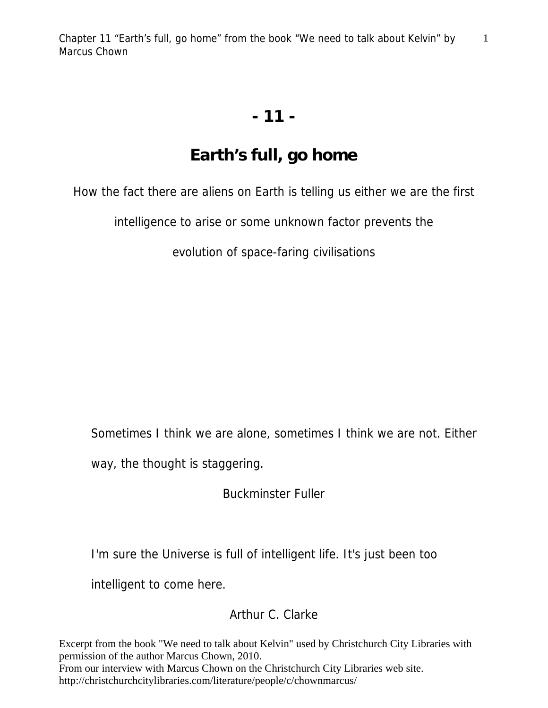1

## **- 11 -**

## **Earth's full, go home**

How the fact there are aliens on Earth is telling us either we are the first

intelligence to arise or some unknown factor prevents the

evolution of space-faring civilisations

Sometimes I think we are alone, sometimes I think we are not. Either

way, the thought is staggering.

Buckminster Fuller

I'm sure the Universe is full of intelligent life. It's just been too

intelligent to come here.

## Arthur C. Clarke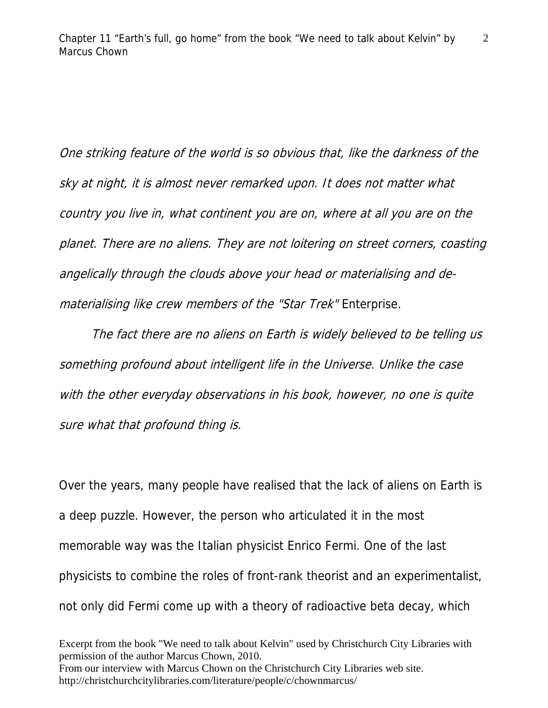One striking feature of the world is so obvious that, like the darkness of the sky at night, it is almost never remarked upon. It does not matter what country you live in, what continent you are on, where at all you are on the planet. There are no aliens. They are not loitering on street corners, coasting angelically through the clouds above your head or materialising and dematerialising like crew members of the "Star Trek" Enterprise.

 The fact there are no aliens on Earth is widely believed to be telling us something profound about intelligent life in the Universe. Unlike the case with the other everyday observations in his book, however, no one is quite sure what that profound thing is.

Over the years, many people have realised that the lack of aliens on Earth is a deep puzzle. However, the person who articulated it in the most memorable way was the Italian physicist Enrico Fermi. One of the last physicists to combine the roles of front-rank theorist and an experimentalist, not only did Fermi come up with a theory of radioactive beta decay, which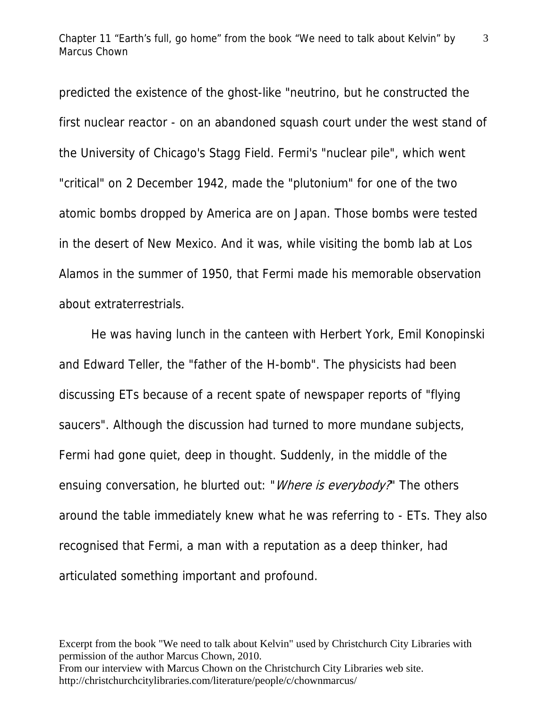predicted the existence of the ghost-like "neutrino, but he constructed the first nuclear reactor - on an abandoned squash court under the west stand of the University of Chicago's Stagg Field. Fermi's "nuclear pile", which went "critical" on 2 December 1942, made the "plutonium" for one of the two atomic bombs dropped by America are on Japan. Those bombs were tested in the desert of New Mexico. And it was, while visiting the bomb lab at Los Alamos in the summer of 1950, that Fermi made his memorable observation about extraterrestrials.

 He was having lunch in the canteen with Herbert York, Emil Konopinski and Edward Teller, the "father of the H-bomb". The physicists had been discussing ETs because of a recent spate of newspaper reports of "flying saucers". Although the discussion had turned to more mundane subjects, Fermi had gone quiet, deep in thought. Suddenly, in the middle of the ensuing conversation, he blurted out: "*Where is everybody?*" The others around the table immediately knew what he was referring to - ETs. They also recognised that Fermi, a man with a reputation as a deep thinker, had articulated something important and profound.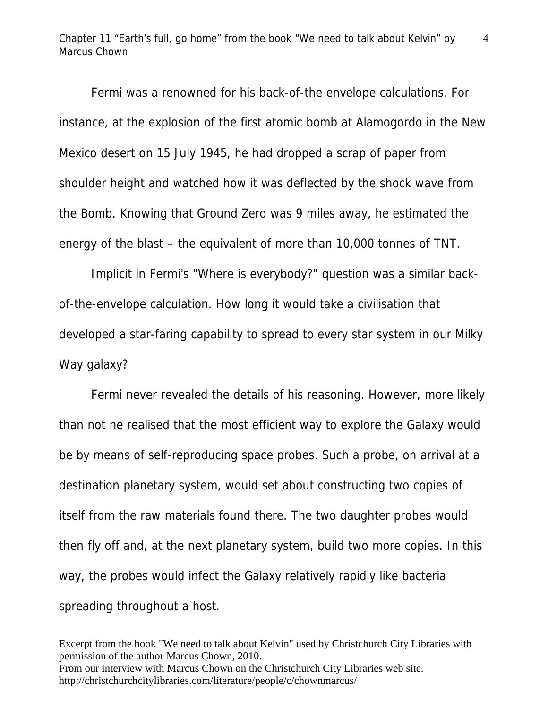Chapter 11 "Earth's full, go home" from the book "We need to talk about Kelvin" by Marcus Chown

4

 Fermi was a renowned for his back-of-the envelope calculations. For instance, at the explosion of the first atomic bomb at Alamogordo in the New Mexico desert on 15 July 1945, he had dropped a scrap of paper from shoulder height and watched how it was deflected by the shock wave from the Bomb. Knowing that Ground Zero was 9 miles away, he estimated the energy of the blast – the equivalent of more than 10,000 tonnes of TNT.

 Implicit in Fermi's "Where is everybody?" question was a similar backof-the-envelope calculation. How long it would take a civilisation that developed a star-faring capability to spread to every star system in our Milky Way galaxy?

 Fermi never revealed the details of his reasoning. However, more likely than not he realised that the most efficient way to explore the Galaxy would be by means of self-reproducing space probes. Such a probe, on arrival at a destination planetary system, would set about constructing two copies of itself from the raw materials found there. The two daughter probes would then fly off and, at the next planetary system, build two more copies. In this way, the probes would infect the Galaxy relatively rapidly like bacteria spreading throughout a host.